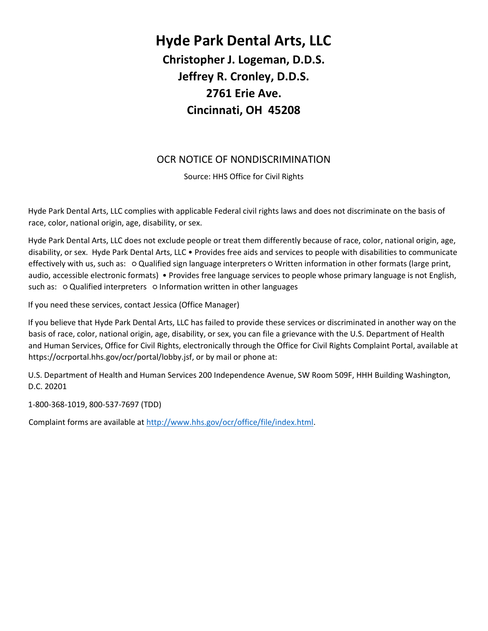## **Hyde Park Dental Arts, LLC Christopher J. Logeman, D.D.S. Jeffrey R. Cronley, D.D.S. 2761 Erie Ave. Cincinnati, OH 45208**

## OCR NOTICE OF NONDISCRIMINATION

Source: HHS Office for Civil Rights

Hyde Park Dental Arts, LLC complies with applicable Federal civil rights laws and does not discriminate on the basis of race, color, national origin, age, disability, or sex.

Hyde Park Dental Arts, LLC does not exclude people or treat them differently because of race, color, national origin, age, disability, or sex. Hyde Park Dental Arts, LLC • Provides free aids and services to people with disabilities to communicate effectively with us, such as: ○ Qualified sign language interpreters ○ Written information in other formats (large print, audio, accessible electronic formats) • Provides free language services to people whose primary language is not English, such as: O Qualified interpreters O Information written in other languages

If you need these services, contact Jessica (Office Manager)

If you believe that Hyde Park Dental Arts, LLC has failed to provide these services or discriminated in another way on the basis of race, color, national origin, age, disability, or sex, you can file a grievance with the U.S. Department of Health and Human Services, Office for Civil Rights, electronically through the Office for Civil Rights Complaint Portal, available at https://ocrportal.hhs.gov/ocr/portal/lobby.jsf, or by mail or phone at:

U.S. Department of Health and Human Services 200 Independence Avenue, SW Room 509F, HHH Building Washington, D.C. 20201

1-800-368-1019, 800-537-7697 (TDD)

Complaint forms are available a[t http://www.hhs.gov/ocr/office/file/index.html.](http://www.hhs.gov/ocr/office/file/index.html)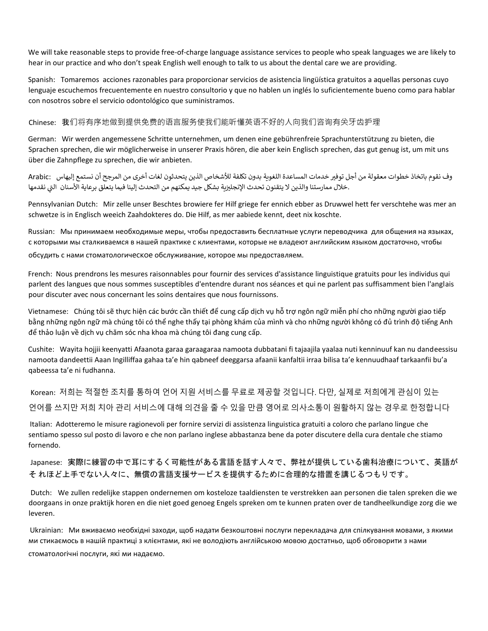We will take reasonable steps to provide free-of-charge language assistance services to people who speak languages we are likely to hear in our practice and who don't speak English well enough to talk to us about the dental care we are providing.

Spanish: Tomaremos acciones razonables para proporcionar servicios de asistencia lingüística gratuitos a aquellas personas cuyo lenguaje escuchemos frecuentemente en nuestro consultorio y que no hablen un inglés lo suficientemente bueno como para hablar con nosotros sobre el servicio odontológico que suministramos.

Chinese: 我们将有序地做到提供免费的语言服务使我们能听懂英语不好的人向我们咨询有关牙齿护理

German: Wir werden angemessene Schritte unternehmen, um denen eine gebührenfreie Sprachunterstützung zu bieten, die Sprachen sprechen, die wir möglicherweise in unserer Praxis hören, die aber kein Englisch sprechen, das gut genug ist, um mit uns über die Zahnpflege zu sprechen, die wir anbieten.

وف نقوم باتخاذ خطوات معقولة من أجل توفير خدمات المساعدة اللغوية بدون تكلفة للأشخاص الذين يتحدثون لغات أخرى من المرجح أن نستمع إليهاس Arabic: .خلال ممارستنا والذين لا يتقنون تحدث الإنجليزية بشكل جيد يمكنهم من التحدث إلينا فيما يتعلّق برعاية الأسنان التي نقدمها ي

Pennsylvanian Dutch: Mir zelle unser Beschtes browiere fer Hilf griege fer ennich ebber as Druwwel hett fer verschtehe was mer an schwetze is in Englisch weeich Zaahdokteres do. Die Hilf, as mer aabiede kennt, deet nix koschte.

Russian: Мы принимаем необходимые меры, чтобы предоставить бесплатные услуги переводчика для общения на языках, с которыми мы сталкиваемся в нашей практике с клиентами, которые не владеют английским языком достаточно, чтобы обсудить с нами стоматологическое обслуживание, которое мы предоставляем.

French: Nous prendrons les mesures raisonnables pour fournir des services d'assistance linguistique gratuits pour les individus qui parlent des langues que nous sommes susceptibles d'entendre durant nos séances et qui ne parlent pas suffisamment bien l'anglais pour discuter avec nous concernant les soins dentaires que nous fournissons.

Vietnamese: Chúng tôi sẽ thực hiện các bước cần thiết để cung cấp dịch vụ hỗ trợ ngôn ngữ miễn phí cho những người giao tiếp bằng những ngôn ngữ mà chúng tôi có thể nghe thấy tại phòng khám của mình và cho những người không có đủ trình độ tiếng Anh để thảo luận về dịch vụ chăm sóc nha khoa mà chúng tôi đang cung cấp.

Cushite: Wayita hojjii keenyatti Afaanota garaa garaagaraa namoota dubbatani fi tajaajila yaalaa nuti kenninuuf kan nu dandeessisu namoota dandeettii Aaan Ingilliffaa gahaa ta'e hin qabneef deeggarsa afaanii kanfaltii irraa bilisa ta'e kennuudhaaf tarkaanfii bu'a qabeessa ta'e ni fudhanna.

Korean: 저희는 적절한 조치를 통하여 언어 지원 서비스를 무료로 제공할 것입니다. 다만, 실제로 저희에게 관심이 있는 언어를 쓰지만 저희 치아 관리 서비스에 대해 의견을 줄 수 있을 만큼 영어로 의사소통이 원활하지 않는 경우로 한정합니다

Italian: Adotteremo le misure ragionevoli per fornire servizi di assistenza linguistica gratuiti a coloro che parlano lingue che sentiamo spesso sul posto di lavoro e che non parlano inglese abbastanza bene da poter discutere della cura dentale che stiamo fornendo.

Japanese: 実際に練習の中で耳にするく可能性がある言語を話す人々で、弊社が提供している歯科治療について、英語が そ れほど上手でない人々に、無償の言語支援サービスを提供するために合理的な措置を講じるつもりです。

Dutch: We zullen redelijke stappen ondernemen om kosteloze taaldiensten te verstrekken aan personen die talen spreken die we doorgaans in onze praktijk horen en die niet goed genoeg Engels spreken om te kunnen praten over de tandheelkundige zorg die we leveren.

Ukrainian: Ми вживаємо необхідні заходи, щоб надати безкоштовні послуги перекладача для спілкування мовами, з якими ми стикаємось в нашій практиці з клієнтами, які не володіють англійською мовою достатньо, щоб обговорити з нами

стоматологічні послуги, які ми надаємо.